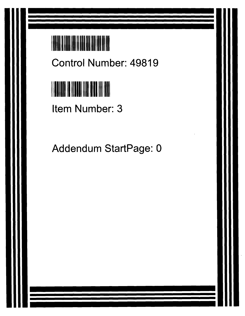

Control Number: 49819



Item Number: 3

Addendum StartPage: 0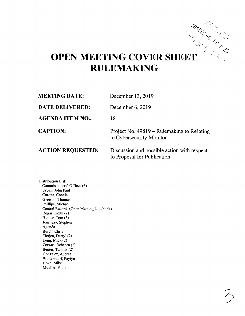# **OPEN MEETING COVER SHEET RULEMAKING**  manches Company

| <b>MEETING DATE:</b>     | December 13, 2019                                                          |
|--------------------------|----------------------------------------------------------------------------|
| <b>DATE DELIVERED:</b>   | December 6, 2019                                                           |
| <b>AGENDA ITEM NO.:</b>  | 18                                                                         |
| <b>CAPTION:</b>          | Project No. 49819 – Rulemaking to Relating<br>to Cybersecurity Monitor     |
| <b>ACTION REQUESTED:</b> | Discussion and possible action with respect<br>to Proposal for Publication |

3

Distribution List: Commissioners' Offices (6) Urban, John Paul Corona, Connie Gleeson, Thomas Phillips, Michael Central Records (Open Meeting Notebook) Rogas, Keith (2) Hunter, Tom (5) Journeay, Stephen Agenda Burch, Chris Tietjen, Darryl (2) Long, Mick (2) Zerwas, Rebecca (2) Benter, Tammy (2) Gonzalez, Andrea Woltersdorf, Paytyn Hoke, Mike Mueller, Paula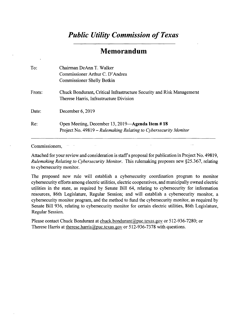## *Public Utility Commission of Texas*

### **Memorandum**

| To:   | Chairman DeAnn T. Walker                                                                                            |  |  |  |  |  |
|-------|---------------------------------------------------------------------------------------------------------------------|--|--|--|--|--|
|       | Commissioner Arthur C. D'Andrea                                                                                     |  |  |  |  |  |
|       | <b>Commissioner Shelly Botkin</b>                                                                                   |  |  |  |  |  |
| From: | Chuck Bondurant, Critical Infrastructure Security and Risk Management<br>Therese Harris, Infrastructure Division    |  |  |  |  |  |
| Date: | December $6, 2019$                                                                                                  |  |  |  |  |  |
| Re:   | Open Meeting, December 13, 2019—Agenda Item #18<br>Project No. 49819 – Rulemaking Relating to Cybersecurity Monitor |  |  |  |  |  |

Commissioners,

Attached for your review and consideration is staff's proposal for publication in Project No. 49819, *Rulemaking Relating to Cybersecurity Monitor.* This rulemaking proposes new §25.367, relating to cybersecurity monitor.

The proposed new rule will establish a cybersecurity coordination program to monitor cybersecurity efforts among electric utilities, electric cooperatives, and municipally owned electric utilities in the state, as required by Senate Bill 64, relating to cybersecurity for information resources, 86th Legislature, Regular Session; and will establish a cybersecurity monitor, a cybersecurity monitor program, and the method to fund the cybersecurity monitor, as required by Senate Bill 936, relating to cybersecurity monitor for certain electric utilities, 86th Legislature, Regular Session.

Please contact Chuck Bondurant at chuck.bondurant@puc.texas.gov or 512-936-7280; or Therese Harris at therese.harris@puc.texas.gov or 512-936-7378 with questions.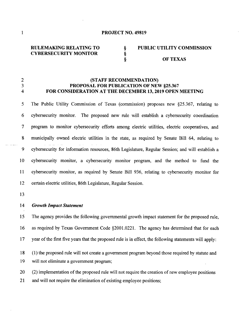# **CYBERSECURITY MONITOR**

## **RULEMAKING RELATING TO PUBLIC UTILITY COMMISSION OF TEXAS**

#### 2 **(STAFF RECOMMENDATION) PROPOSAL FOR PUBLICATION OF NEW §25.367**<br>**PROPOSAL FOR PUBLICATION OF NEW \$25.367** 4 **FOR CONSIDERATION AT THE DECEMBER 13, 2019 OPEN MEETING**

5 The Public Utility Commission of Texas (commission) proposes new §25.367, relating to 6 cybersecurity monitor. The proposed new rule will establish a cybersecurity coordination 7 program to monitor cybersecurity efforts among electric utilities, electric cooperatives, and 8 municipally owned electric utilities in the state, as required by Senate Bill 64, relating to 9 cybersecurity for information resources, 86th Legislature, Regular Session; and will establish a 10 cybersecurity monitor, a cybersecurity monitor program, and the method to fund the 11 cybersecurity monitor, as required by Senate Bill 936, relating to cybersecurity monitor for 12 certain electric utilities, 86th Legislature, Regular Session.

13

#### 14 *Growth Impact Statement*

15 The agency provides the following governmental growth impact statement for the proposed rule,

16 as required by Texas Government Code §2001.0221. The agency has determined that for each

17 year of the first five years that the proposed rule is in effect, the following statements will apply:

18 (1) the proposed rule will not create a government program beyond those required by statute and 19 will not eliminate a government program;

20 (2) implementation of the proposed rule will not require the creation of new employee positions 21 and will not require the elimination of existing employee positions;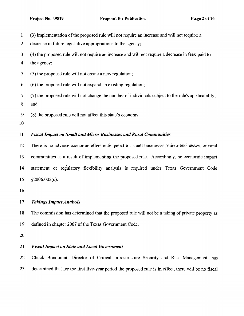1 (3) implementation of the proposed rule will not require an increase and will not require a

2 decrease in future legislative appropriations to the agency;

3 (4) the proposed rule will not require an increase and Will not require a decrease in fees paid to

4 the agency;

- 5 (5) the proposed rule will not create a new regulation;
- 6 (6) the proposed rule will not expand an existing regulation;
- 7 (7) the proposed rule will not change the number of individuals subject to the rule's applicability; 8 and
- 9 (8) the proposed rule will not affect this state's economy.
- 10

#### 11 *Fiscal Impact on Small and Micro-Businesses and Rural Communities*

12 There is no-adverse economic effect anticipated for small businesses, micro-businesses, or rural 13 communities as a result of implementing the proposed rule. Accordingly, no economic impact 14 statement or regulatory flexibility analysis is required under Texas Government Code 15 §2006.002(c).

16

#### 17 *Takings Impact Analysis*

18 The commission has determined that the proposed rule will not be a taking of private property as 19 defined in chapter 2007 of the Texas Government Code.

20

#### 21 *Fiscal Impact on State and Local Government*

22 Chuck Bondurant, Director of Critical Infrastructure Security and Risk Management, has 23 determined that for the first five-year period the proposed rule is in effect, there will be no fiscal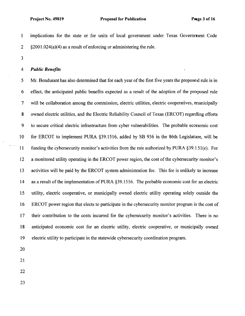1 implications for the state or for units of local government under Texas Government Code 2  $\&$  82001.024(a)(4) as a result of enforcing or administering the rule.

3

#### 4 *Public Benefits*

5 Mr. Bondurant has also determined that for each year of the first five years the proposed rule is in 6 effect, the anticipated public benefits expected as a result of the adoption of the proposed rule 7 will be collaboration among the commission, electric utilities, electric cooperatives, municipally 8 owned electric utilities, and the Electric Reliability Council of Texas (ERCOT) regarding efforts 9 to secure critical electric infrastructure from cyber vulnerabilities. The probable economic cost 10 for ERCOT to implement PURA §39.1516, added by SB 936 in the 86th Legislature, will be 11 funding the cybersecurity monitor's activities from the rate authorized by PURA §39.151(e). For 12 a monitored utility operating in the ERCOT power region, the cost of the cybersecurity monitor's 13 activities will be paid by the ERCOT system administration fee. This fee is unlikely to increase 14 as a result of the implementation of PURA §39.1516. The probable economic cost for an electric 15 utility, electric cooperative, or municipally owned electric utility operating solely outside the 16 ERCOT power region that elects to participate in the cybersecurity monitor program is the cost of 17 their contribution to the costs incurred for the cybersecurity monitor's activities. There is no 18 anticipated economic cost for an electric utility, electric cooperative, or municipally owned 19 electric utility to participate in the statewide cybersecurity coordination program.

- 20
- 21
- 22
- 23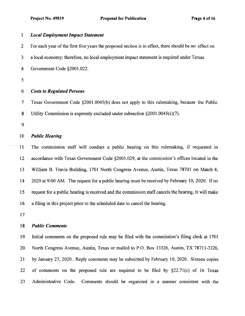# *1 Local Employment Impact Statement*  2 For each year of the first five years the proposed section is in effect, there should be no effect on 3 a local economy; therefore, no local employment impact statement is required under Texas 4 Government Code §2001.022. 5 6 *Costs to Regulated Persons*  7 Texas Government Code §2001.0045(b) does not apply to this rulemaking, because the Public 8 Utility Commission is expressly excluded under subsection §2001.0045(c)(7). 9 10 *Public Hearing*  11 The commission staff will conduct a public hearing on this rulemaking, if requested in 12 accordance with Texas Government Code §2001.029, at the commission's offices located in the 13 William B. Travis Building, 1701 North Congress Avenue, Austin, Texas 78701 on March 4, 14 2020 at 9:00 AM. The request for a public hearing must be received by February 10, 2020. If no 15 request for a public hearing is received and the commission staff cancels the hearing, it will make 16 a filing in this project prior to the scheduled date to cancel the hearing. 17 18 *Public Comments*

19 Initial comments on the proposed rule may be filed with the commission's filing clerk at 1701 20 North Congress Avenue, Austin, Texas or mailed to P.O. Box 13326, Austin, TX 78711-3326, 21 by January 27, 2020. Reply comments may be submitted by February 10, 2020. Sixteen copies 22 of comments on the proposed rule are required to be filed by §22.71(c) of 16 Texas 23 Administrative Code. Comments should be organized in a manner consistent with the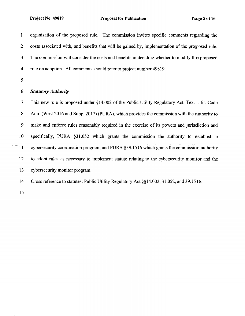$\omega_{\rm c}$ 

| $\mathbf{1}$             | organization of the proposed rule. The commission invites specific comments regarding the        |
|--------------------------|--------------------------------------------------------------------------------------------------|
| $\overline{2}$           | costs associated with, and benefits that will be gained by, implementation of the proposed rule. |
| $\overline{3}$           | The commission will consider the costs and benefits in deciding whether to modify the proposed   |
| 4                        | rule on adoption. All comments should refer to project number 49819.                             |
| 5                        |                                                                                                  |
| 6                        | <b>Statutory Authority</b>                                                                       |
| $\overline{\mathcal{I}}$ | This new rule is proposed under §14.002 of the Public Utility Regulatory Act, Tex. Util. Code    |
| 8                        | Ann. (West 2016 and Supp. 2017) (PURA), which provides the commission with the authority to      |
| 9                        | make and enforce rules reasonably required in the exercise of its powers and jurisdiction and    |
| 10                       | specifically, PURA §31.052 which grants the commission the authority to establish a              |
| 11                       | cybersecurity coordination program; and PURA §39.1516 which grants the commission authority      |
| 12                       | to adopt rules as necessary to implement statute relating to the cybersecurity monitor and the   |
| 13                       | cybersecurity monitor program.                                                                   |
| 14                       | Cross reference to statutes: Public Utility Regulatory Act §§14.002, 31.052, and 39.1516.        |
| 15                       |                                                                                                  |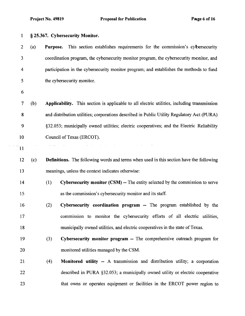| $\mathbf{1}$   |     | § 25.367. Cybersecurity Monitor.                                                               |
|----------------|-----|------------------------------------------------------------------------------------------------|
| $\overline{2}$ | (a) | This section establishes requirements for the commission's cybersecurity<br>Purpose.           |
| 3              |     | coordination program, the cybersecurity monitor program, the cybersecurity monitor, and        |
| $\overline{4}$ |     | participation in the cybersecurity monitor program; and establishes the methods to fund        |
| 5              |     | the cybersecurity monitor.                                                                     |
| 6              |     |                                                                                                |
| $\overline{7}$ | (b) | Applicability. This section is applicable to all electric utilities, including transmission    |
| 8              |     | and distribution utilities; corporations described in Public Utility Regulatory Act (PURA)     |
| 9              |     | §32.053; municipally owned utilities; electric cooperatives; and the Electric Reliability      |
| 10             |     | Council of Texas (ERCOT).                                                                      |
| 11             |     | and a strategic and strategic                                                                  |
| 12             | (c) | <b>Definitions.</b> The following words and terms when used in this section have the following |
| 13             |     | meanings, unless the context indicates otherwise:                                              |
| 14             |     | (1)<br>Cybersecurity monitor (CSM) -- The entity selected by the commission to serve           |
| 15             |     | as the commission's cybersecurity monitor and its staff.                                       |
| 16             |     | (2)<br>Cybersecurity coordination program -- The program established by the                    |
| 17             |     | commission to monitor the cybersecurity efforts of all electric utilities,                     |
| 18             |     | municipally owned utilities, and electric cooperatives in the state of Texas.                  |
| 19             |     | Cybersecurity monitor program -- The comprehensive outreach program for<br>(3)                 |
| 20             |     | monitored utilities managed by the CSM.                                                        |
| 21             |     | Monitored utility -- A transmission and distribution utility; a corporation<br>(4)             |
| 22             |     | described in PURA §32.053; a municipally owned utility or electric cooperative                 |
| 23             |     | that owns or operates equipment or facilities in the ERCOT power region to                     |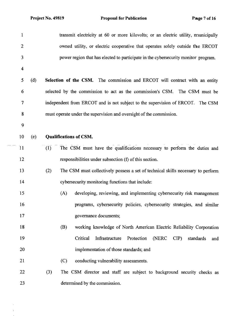$\sim$   $\sim$ 

 $\bar{\beta}$  $\bar{1}$  $\sim 10^7$ 

| $\mathbf{1}$            |     |     | transmit electricity at 60 or more kilovolts; or an electric utility, municipally  |
|-------------------------|-----|-----|------------------------------------------------------------------------------------|
| $\overline{2}$          |     |     | owned utility, or electric cooperative that operates solely outside the ERCOT      |
| 3                       |     |     | power region that has elected to participate in the cybersecurity monitor program. |
| $\overline{\mathbf{4}}$ |     |     |                                                                                    |
| 5                       | (d) |     | Selection of the CSM. The commission and ERCOT will contract with an entity        |
| 6                       |     |     | selected by the commission to act as the commission's CSM. The CSM must be         |
| 7                       |     |     | independent from ERCOT and is not subject to the supervision of ERCOT. The CSM     |
| $\bf 8$                 |     |     | must operate under the supervision and oversight of the commission.                |
| 9                       |     |     |                                                                                    |
| 10                      | (e) |     | <b>Qualifications of CSM.</b>                                                      |
| 11                      |     | (1) | The CSM must have the qualifications necessary to perform the duties and           |
| 12                      |     |     | responsibilities under subsection (f) of this section.                             |
| 13                      |     | (2) | The CSM must collectively possess a set of technical skills necessary to perform   |
| 14                      |     |     | cybersecurity monitoring functions that include:                                   |
| 15                      |     |     | developing, reviewing, and implementing cybersecurity risk management<br>(A)       |
| 16                      |     |     | programs, cybersecurity policies, cybersecurity strategies, and similar            |
| 17                      |     |     | governance documents;                                                              |
| 18                      |     |     | (B)<br>working knowledge of North American Electric Reliability Corporation        |
| 19                      |     |     | Critical<br>(NERC<br>Infrastructure<br>Protection<br>$CIP$ )<br>standards<br>and   |
| 20                      |     |     | implementation of those standards; and                                             |
| 21                      |     |     | (C)<br>conducting vulnerability assessments.                                       |
| 22                      |     | (3) | The CSM director and staff are subject to background security checks as            |
| 23                      |     |     | determined by the commission.                                                      |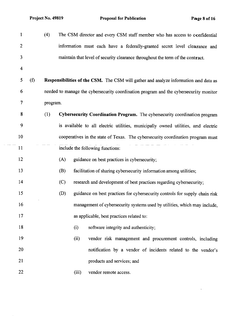$\sim$   $-$ 

 $\hat{\mathbf{v}}$ 

| $\mathbf{1}$   |     | (4)      |     |       | The CSM director and every CSM staff member who has access to confidential            |
|----------------|-----|----------|-----|-------|---------------------------------------------------------------------------------------|
| $\overline{c}$ |     |          |     |       | information must each have a federally-granted secret level clearance and             |
| 3              |     |          |     |       | maintain that level of security clearance throughout the term of the contract.        |
| 4              |     |          |     |       |                                                                                       |
| 5              | (f) |          |     |       | Responsibilities of the CSM. The CSM will gather and analyze information and data as  |
| 6              |     |          |     |       | needed to manage the cybersecurity coordination program and the cybersecurity monitor |
| 7              |     | program. |     |       |                                                                                       |
| 8              |     | (1)      |     |       | Cybersecurity Coordination Program. The cybersecurity coordination program            |
| 9              |     |          |     |       | is available to all electric utilities, municipally owned utilities, and electric     |
| 10             |     |          |     |       | cooperatives in the state of Texas. The cybersecurity coordination program must       |
| 11             |     |          |     |       | include the following functions:                                                      |
| 12             |     |          | (A) |       | guidance on best practices in cybersecurity;                                          |
| 13             |     |          | (B) |       | facilitation of sharing cybersecurity information among utilities;                    |
| 14             |     |          | (C) |       | research and development of best practices regarding cybersecurity;                   |
| 15             |     |          | (D) |       | guidance on best practices for cybersecurity controls for supply chain risk           |
| 16             |     |          |     |       | management of cybersecurity systems used by utilities, which may include.             |
| 17             |     |          |     |       | as applicable, best practices related to:                                             |
| 18             |     |          |     | (i)   | software integrity and authenticity;                                                  |
| 19             |     |          |     | (ii)  | vendor risk management and procurement controls, including                            |
| 20             |     |          |     |       | notification by a vendor of incidents related to the vendor's                         |
| 21             |     |          |     |       | products and services; and                                                            |
| 22             |     |          |     | (iii) | vendor remote access.                                                                 |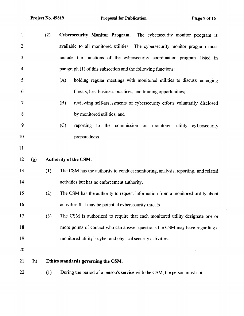$\bar{z}$ 

 $\hat{\mathbf{v}}$ 

|    | $\mathbf{1}$   | (2) | Cybersecurity Monitor Program.<br>The cybersecurity monitor program is            |
|----|----------------|-----|-----------------------------------------------------------------------------------|
|    | $\overline{2}$ |     | available to all monitored utilities. The cybersecurity monitor program must      |
|    | 3              |     | include the functions of the cybersecurity coordination program listed in         |
|    | 4              |     | paragraph (1) of this subsection and the following functions:                     |
|    | 5              |     | (A)<br>holding regular meetings with monitored utilities to discuss emerging      |
|    | 6              |     | threats, best business practices, and training opportunities;                     |
|    | 7              |     | (B)<br>reviewing self-assessments of cybersecurity efforts voluntarily disclosed  |
|    | 8              |     | by monitored utilities; and                                                       |
|    | 9              |     | (C)<br>reporting to the commission on monitored utility cybersecurity             |
| 10 |                |     | preparedness.                                                                     |
| 11 |                |     |                                                                                   |
| 12 | (g)            |     | Authority of the CSM.                                                             |
| 13 |                | (1) | The CSM has the authority to conduct monitoring, analysis, reporting, and related |
|    | 14             |     | activities but has no enforcement authority.                                      |
|    | 15             | (2) | The CSM has the authority to request information from a monitored utility about   |
|    | 16             |     | activities that may be potential cybersecurity threats.                           |
|    | 17             | (3) | The CSM is authorized to require that each monitored utility designate one or     |
|    | 18             |     | more points of contact who can answer questions the CSM may have regarding a      |
|    | 19             |     | monitored utility's cyber and physical security activities.                       |
|    | 20             |     |                                                                                   |
|    | 21<br>(h)      |     | Ethics standards governing the CSM.                                               |
|    | 22             | (1) | During the period of a person's service with the CSM, the person must not:        |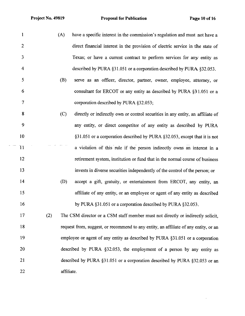1 (A) have a specific interest in the commission's regulation and must not have a 2 direct financial interest in the provision of electric service in the state of 3 Texas; or have a current contract to perform services for any entity as 4 described by PURA §31.051 or a corporation described by PURA §32.053. 5 (B) serve as an officer, director, partner, owner, employee, attorney, or 6 consultant for ERCOT or any entity as described by PURA §3 1.051 or a 7 corporation described by PURA §32.053; 8 (C) directly or indirectly own or control securities in any entity, an affiliate of 9 any entity, or direct competitor of any entity as described by PURA 10 §31.051 or a corporation described by PURA §32.053, except that it is not 11 a violation of this rule if the person indirectly owns an interest in a 12 retirement system, institution or fund that in the normal course of business 13 invests in diverse securities independently of the control of the person; or 14 (D) accept a gift, gratuity, or entertainment from ERCOT, any entity, an 15 affiliate of any entity, or an employee or agent of any entity as described 16 by PURA §31.051 or a corporation described by PURA §32.053. 17 (2) The CSM director or a CSM staff member must not directly or indirectly solicit, 18 request from, suggest, or recommend to any entity, an affiliate of any entity, or an 19 employee or agent of any entity as described by PURA §31.051 or a corporation 20 described by PURA §32.053, the employment of a person by any entity as 21 described by PURA §31.051 or a corporation described by PURA §32.053 or an 22 affiliate.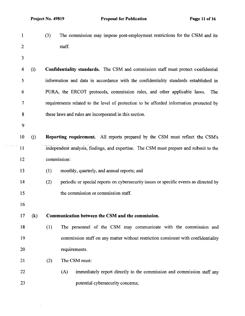$\sim 10^{-11}$ 

 $\hat{\boldsymbol{\theta}}$ 

| $\mathbf{1}$ |     | The commission may impose post-employment restrictions for the CSM and its<br>(3)            |
|--------------|-----|----------------------------------------------------------------------------------------------|
| $\mathbf{2}$ |     | staff.                                                                                       |
| 3            |     |                                                                                              |
| 4            | (i) | <b>Confidentiality standards.</b> The CSM and commission staff must protect confidential     |
| 5            |     | information and data in accordance with the confidentiality standards established in         |
| 6            |     | PURA, the ERCOT protocols, commission rules, and other applicable laws.<br>The               |
| 7            |     | requirements related to the level of protection to be afforded information protected by      |
| 8            |     | these laws and rules are incorporated in this section.                                       |
| 9            |     |                                                                                              |
| 10           | (j) | <b>Reporting requirement.</b> All reports prepared by the CSM must reflect the CSM's         |
| 11           |     | independent analysis, findings, and expertise. The CSM must prepare and submit to the        |
| 12           |     | commission:                                                                                  |
| 13           |     | (1)<br>monthly, quarterly, and annual reports; and                                           |
| 14           |     | (2)<br>periodic or special reports on cybersecurity issues or specific events as directed by |
| 15           |     | the commission or commission staff.                                                          |
| 16           |     |                                                                                              |
| 17           | (k) | Communication between the CSM and the commission.                                            |
| 18           |     | (1)<br>The personnel of the CSM may communicate with the commission and                      |
| 19           |     | commission staff on any matter without restriction consistent with confidentiality           |
| 20           |     | requirements.                                                                                |
| 21           |     | The CSM must:<br>(2)                                                                         |
| 22           |     | immediately report directly to the commission and commission staff any<br>(A)                |
| 23           |     | potential cybersecurity concerns;                                                            |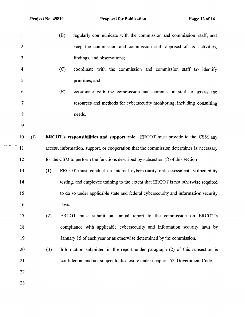- 1 (B) regularly communicate with the commission and commission staff, and 2 keep the commission and commission staff apprised of its activities, 3 findings, and observations;
- 4 (C) coordinate with the commission and commission staff to identify 5 priorities; and
- 6 (E) coordinate with the commission and commission staff to assess the 7 resources and methods for cybersecurity monitoring, including consulting 8 needs.
- 9
- 10 **(1) ERCOT's responsibilities and support role.** ERCOT must provide to the CSM any 11 access, information, support, or cooperation that the commission determines is necessary 12 for the CSM to perform the functions described by subsection (f) of this section.
- 13 (1) ERCOT must conduct an internal cybersecurity risk assessment, vulnerability 14 testing, and employee training to the extent that ERCOT is not otherwise required 15 to do so under applicable state and federal cybersecurity and information security 16 laws.
- 17 (2) ERCOT must submit an annual report to the commission on ERCOT's 18 compliance with applicable cybersecurity and information security laws by 19 January 15 of each year or as otherwise determined by the commission.
- 20 (3) Information submitted in the report under paragraph (2) of this subsection is 21 confidential and not subject to disclosure under chapter 552, Government Code.
- 22
- 23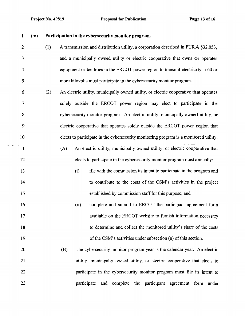1

12

13

14

15

#### (m) **Participation in the cybersecurity monitor program.**

- 2 3 4 5 (1) A transmission and distribution utility, a corporation described in PURA §32.053, and a municipally owned utility or electric cooperative that owns or operates equipment or facilities in the ERCOT power region to transmit electricity at 60 or more kilovolts must participate in the cybersecurity monitor program.
- 6 7 8 9 10 11 (2) An electric utility, municipally owned utility, or electric cooperative that operates solely outside the ERCOT power region may elect to participate in the cybersecurity monitor program. An electric utility, municipally owned utility, or electric cooperative that operates solely outside the ERCOT power region that elects to participate in the cybersecurity monitoring program is a monitored utility. (A) An electric utility, municipally owned utility, or electric cooperative that
	- elects to participate in the cybersecurity monitor program must annually:
		- (i) file with the commission its intent to participate in the program and to contribute to the costs of the CSM's activities in the project established by commission staff for this purpose; and
- 16 17 18 19 (ii) complete and submit to ERCOT the participant agreement form available on the ERCOT website to furnish information necessary to determine and collect the monitored utility's share of the costs of the CSM's activities under subsection (n) of this section.
- 20 21 22 23 (B) The cybersecurity monitor program year is the calendar year. An electric utility, municipally owned utility, or electric cooperative that elects to participate in the cybersecurity monitor program must file its intent to participate and complete the participant agreement form under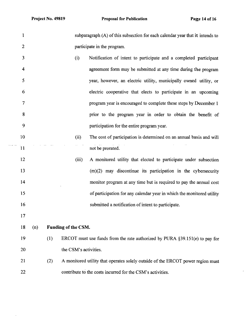$\sim$   $\sim$ 

 $\ddot{\phantom{0}}$ 

| 1              |     |     |                       | subparagraph (A) of this subsection for each calendar year that it intends to   |
|----------------|-----|-----|-----------------------|---------------------------------------------------------------------------------|
| $\overline{2}$ |     |     |                       | participate in the program.                                                     |
| 3              |     |     | (i)                   | Notification of intent to participate and a completed participant               |
| $\overline{4}$ |     |     |                       | agreement form may be submitted at any time during the program                  |
| 5              |     |     |                       | year, however, an electric utility, municipally owned utility, or               |
| 6              |     |     |                       | electric cooperative that elects to participate in an upcoming                  |
| 7              |     |     |                       | program year is encouraged to complete these steps by December 1                |
| 8              |     |     |                       | prior to the program year in order to obtain the benefit of                     |
| 9              |     |     |                       | participation for the entire program year.                                      |
| 10             |     |     | (ii)                  | The cost of participation is determined on an annual basis and will             |
| 11             |     |     |                       | not be prorated.                                                                |
| 12             |     |     | (iii)                 | A monitored utility that elected to participate under subsection                |
| 13             |     |     |                       | $(m)(2)$ may discontinue its participation in the cybersecurity                 |
| 14             |     |     |                       | monitor program at any time but is required to pay the annual cost              |
| 15             |     |     |                       | of participation for any calendar year in which the monitored utility           |
| 16             |     |     |                       | submitted a notification of intent to participate.                              |
| 17             |     |     |                       |                                                                                 |
| 18             | (n) |     | Funding of the CSM.   |                                                                                 |
| 19             |     | (1) |                       | ERCOT must use funds from the rate authorized by PURA $\S 39.151(e)$ to pay for |
| 20             |     |     | the CSM's activities. |                                                                                 |
| 21             |     | (2) |                       | A monitored utility that operates solely outside of the ERCOT power region must |
| 22             |     |     |                       | contribute to the costs incurred for the CSM's activities.                      |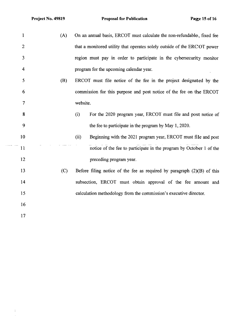$\sim$  2004  $\sim$  200

 $\frac{1}{4}$ 

| 1              | (A) |          | On an annual basis, ERCOT must calculate the non-refundable, fixed fee    |
|----------------|-----|----------|---------------------------------------------------------------------------|
| $\overline{2}$ |     |          | that a monitored utility that operates solely outside of the ERCOT power  |
| 3              |     |          | region must pay in order to participate in the cybersecurity monitor      |
| 4              |     |          | program for the upcoming calendar year.                                   |
| 5              | (B) |          | ERCOT must file notice of the fee in the project designated by the        |
| 6              |     |          | commission for this purpose and post notice of the fee on the ERCOT       |
| 7              |     | website. |                                                                           |
| 8              |     | (i)      | For the 2020 program year, ERCOT must file and post notice of             |
| 9              |     |          | the fee to participate in the program by May 1, 2020.                     |
| 10             |     | (ii)     | Beginning with the 2021 program year, ERCOT must file and post            |
| 11             |     |          | notice of the fee to participate in the program by October 1 of the       |
| 12             |     |          | preceding program year.                                                   |
| 13             | (C) |          | Before filing notice of the fee as required by paragraph $(2)(B)$ of this |
| 14             |     |          | subsection, ERCOT must obtain approval of the fee amount and              |
| 15             |     |          | calculation methodology from the commission's executive director.         |
| 16             |     |          |                                                                           |
| 17             |     |          |                                                                           |